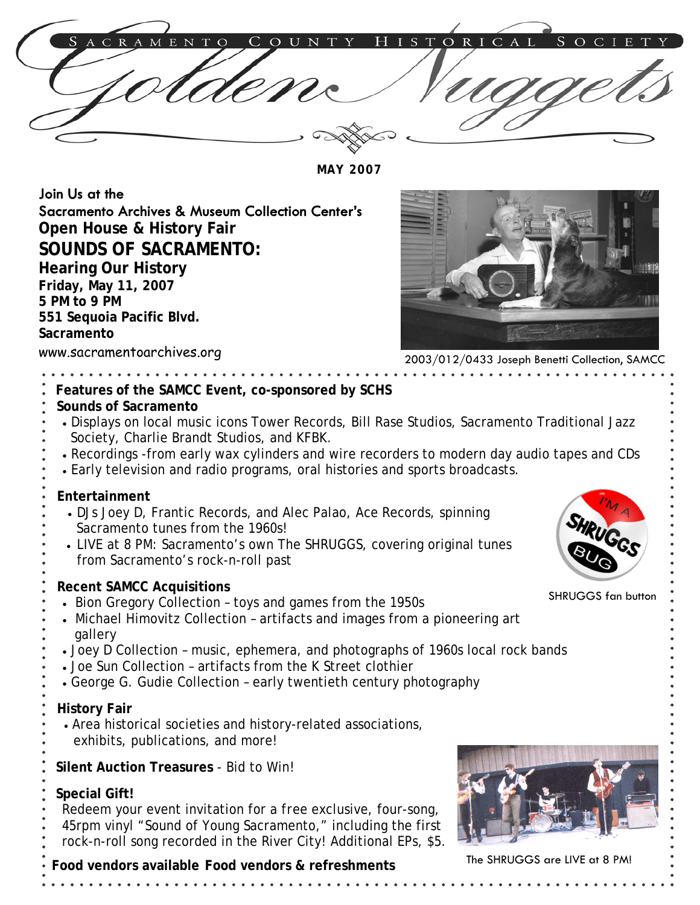

**MAY 2007** 

Join Us at the Sacramento Archives & Museum Collection Center's **Open House & History Fair SOUNDS OF SACRAMENTO: Hearing Our History Friday, May 11, 2007 5 PM to 9 PM 551 Sequoia Pacific Blvd. Sacramento** 



2003/012/0433 Joseph Benetti Collection, SAMCC

### **Features of the SAMCC Event, co-sponsored by SCHS**

#### **Sounds of Sacramento**

www.sacramentoarchives.org

- Displays on local music icons Tower Records, Bill Rase Studios, Sacramento Traditional Jazz
- Society, Charlie Brandt Studios, and KFBK.
- Recordings -from early wax cylinders and wire recorders to modern day audio tapes and CDs
- Early television and radio programs, oral histories and sports broadcasts.

#### **Entertainment**

- DJs Joey D, Frantic Records, and Alec Palao, Ace Records, spinning Sacramento tunes from the 1960s!
- LIVE at 8 PM: Sacramento's own The SHRUGGS, covering original tunes from Sacramento's rock-n-roll past

#### **Recent SAMCC Acquisitions**

- Bion Gregory Collection toys and games from the 1950s
- Michael Himovitz Collection artifacts and images from a pioneering art gallery
- Joey D Collection music, ephemera, and photographs of 1960s local rock bands
- Joe Sun Collection artifacts from the K Street clothier
- George G. Gudie Collection early twentieth century photography

#### **History Fair**

- Area historical societies and history-related associations,
- exhibits, publications, and more!

 **Silent Auction Treasures** - Bid to Win!

## **Special Gift!**

- Redeem your event invitation for a *free* exclusive, four-song,
- 45rpm vinyl "Sound of Young Sacramento," including the first
- rock-n-roll song recorded in the River City! Additional EPs, \$5.





SHRUGGS fan button

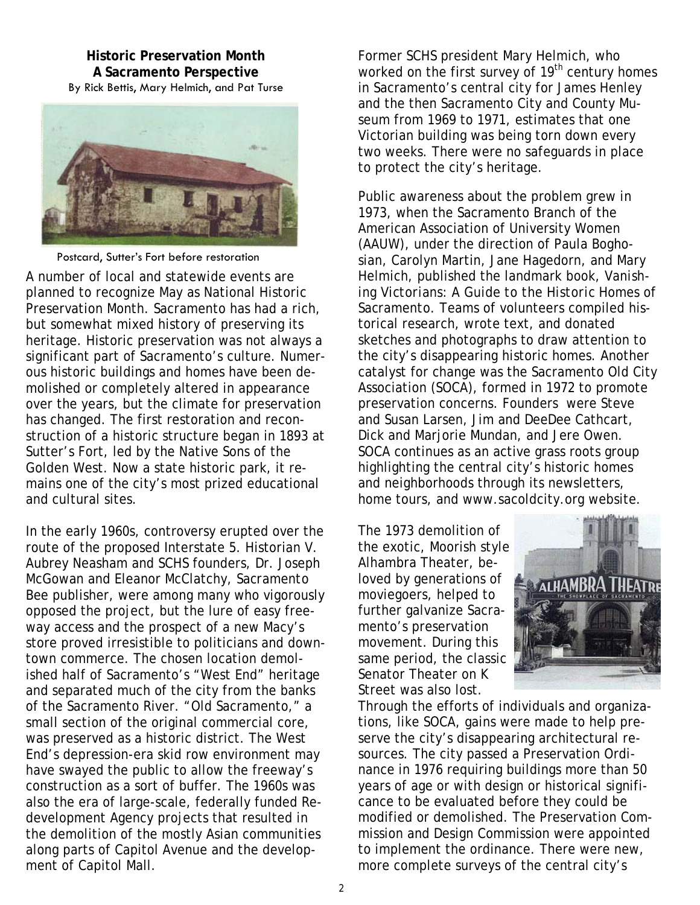**Historic Preservation Month A Sacramento Perspective**  By Rick Bettis, Mary Helmich, and Pat Turse



Postcard, Sutter's Fort before restoration

A number of local and statewide events are planned to recognize May as National Historic Preservation Month. Sacramento has had a rich, but somewhat mixed history of preserving its heritage. Historic preservation was not always a significant part of Sacramento's culture. Numerous historic buildings and homes have been demolished or completely altered in appearance over the years, but the climate for preservation has changed. The first restoration and reconstruction of a historic structure began in 1893 at Sutter's Fort, led by the Native Sons of the Golden West. Now a state historic park, it remains one of the city's most prized educational and cultural sites.

In the early 1960s, controversy erupted over the route of the proposed Interstate 5. Historian V. Aubrey Neasham and SCHS founders, Dr. Joseph McGowan and Eleanor McClatchy, *Sacramento Bee* publisher, were among many who vigorously opposed the project, but the lure of easy freeway access and the prospect of a new Macy's store proved irresistible to politicians and downtown commerce. The chosen location demolished half of Sacramento's "West End" heritage and separated much of the city from the banks of the Sacramento River. "Old Sacramento," a small section of the original commercial core, was preserved as a historic district. The West End's depression-era skid row environment may have swayed the public to allow the freeway's construction as a sort of buffer. The 1960s was also the era of large-scale, federally funded Redevelopment Agency projects that resulted in the demolition of the mostly Asian communities along parts of Capitol Avenue and the development of Capitol Mall.

Former SCHS president Mary Helmich, who worked on the first survey of 19<sup>th</sup> century homes in Sacramento's central city for James Henley and the then Sacramento City and County Museum from 1969 to 1971, estimates that one Victorian building was being torn down every two weeks. There were no safeguards in place to protect the city's heritage.

Public awareness about the problem grew in 1973, when the Sacramento Branch of the American Association of University Women (AAUW), under the direction of Paula Boghosian, Carolyn Martin, Jane Hagedorn, and Mary Helmich, published the landmark book, *Vanishing Victorians: A Guide to the Historic Homes of Sacramento.* Teams of volunteers compiled historical research, wrote text, and donated sketches and photographs to draw attention to the city's disappearing historic homes. Another catalyst for change was the Sacramento Old City Association (SOCA), formed in 1972 to promote preservation concerns. Founders were Steve and Susan Larsen, Jim and DeeDee Cathcart, Dick and Marjorie Mundan, and Jere Owen. SOCA continues as an active grass roots group highlighting the central city's historic homes and neighborhoods through its newsletters, home tours, and www.sacoldcity.org website.

The 1973 demolition of the exotic, Moorish style Alhambra Theater, beloved by generations of moviegoers, helped to further galvanize Sacramento's preservation movement. During this same period, the classic Senator Theater on K Street was also lost.



Through the efforts of individuals and organizations, like SOCA, gains were made to help preserve the city's disappearing architectural resources. The city passed a Preservation Ordinance in 1976 requiring buildings more than 50 years of age or with design or historical significance to be evaluated before they could be modified or demolished. The Preservation Commission and Design Commission were appointed to implement the ordinance. There were new, more complete surveys of the central city's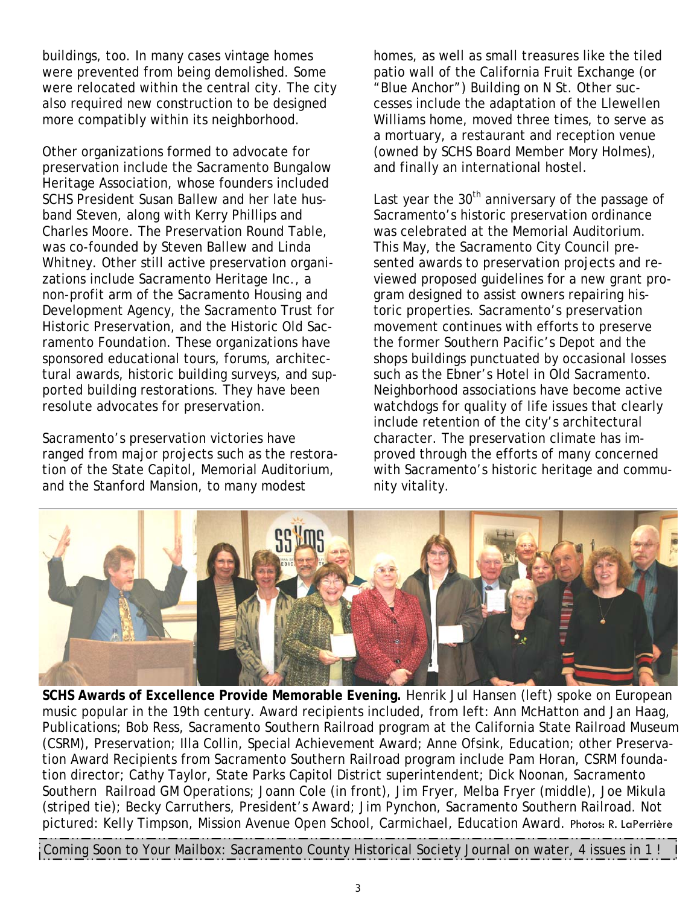buildings, too. In many cases vintage homes were prevented from being demolished. Some were relocated within the central city. The city also required new construction to be designed more compatibly within its neighborhood.

Other organizations formed to advocate for preservation include the Sacramento Bungalow Heritage Association, whose founders included SCHS President Susan Ballew and her late husband Steven, along with Kerry Phillips and Charles Moore. The Preservation Round Table, was co-founded by Steven Ballew and Linda Whitney. Other still active preservation organizations include Sacramento Heritage Inc., a non-profit arm of the Sacramento Housing and Development Agency, the Sacramento Trust for Historic Preservation, and the Historic Old Sacramento Foundation. These organizations have sponsored educational tours, forums, architectural awards, historic building surveys, and supported building restorations. They have been resolute advocates for preservation.

Sacramento's preservation victories have ranged from major projects such as the restoration of the State Capitol, Memorial Auditorium, and the Stanford Mansion, to many modest

homes, as well as small treasures like the tiled patio wall of the California Fruit Exchange (or "Blue Anchor") Building on N St. Other successes include the adaptation of the Llewellen Williams home, moved three times, to serve as a mortuary, a restaurant and reception venue (owned by SCHS Board Member Mory Holmes), and finally an international hostel.

Last year the 30<sup>th</sup> anniversary of the passage of Sacramento's historic preservation ordinance was celebrated at the Memorial Auditorium. This May, the Sacramento City Council presented awards to preservation projects and reviewed proposed guidelines for a new grant program designed to assist owners repairing historic properties. Sacramento's preservation movement continues with efforts to preserve the former Southern Pacific's Depot and the shops buildings punctuated by occasional losses such as the Ebner's Hotel in Old Sacramento. Neighborhood associations have become active watchdogs for quality of life issues that clearly include retention of the city's architectural character. The preservation climate has improved through the efforts of many concerned with Sacramento's historic heritage and community vitality.



**SCHS Awards of Excellence Provide Memorable Evening.** Henrik Jul Hansen (left) spoke on European music popular in the 19th century. Award recipients included, from left: Ann McHatton and Jan Haag, Publications; Bob Ress, Sacramento Southern Railroad program at the California State Railroad Museum (CSRM), Preservation; Illa Collin, Special Achievement Award; Anne Ofsink, Education; other Preservation Award Recipients from Sacramento Southern Railroad program include Pam Horan, CSRM foundation director; Cathy Taylor, State Parks Capitol District superintendent; Dick Noonan, Sacramento Southern Railroad GM Operations; Joann Cole (in front), Jim Fryer, Melba Fryer (middle), Joe Mikula (striped tie); Becky Carruthers, President's Award; Jim Pynchon, Sacramento Southern Railroad. Not pictured: Kelly Timpson, Mission Avenue Open School, Carmichael, Education Award. Photos: R. LaPerrière

Coming Soon to Your Mailbox: Sacramento County Historical Society Journal on water, 4 issues in 1 !